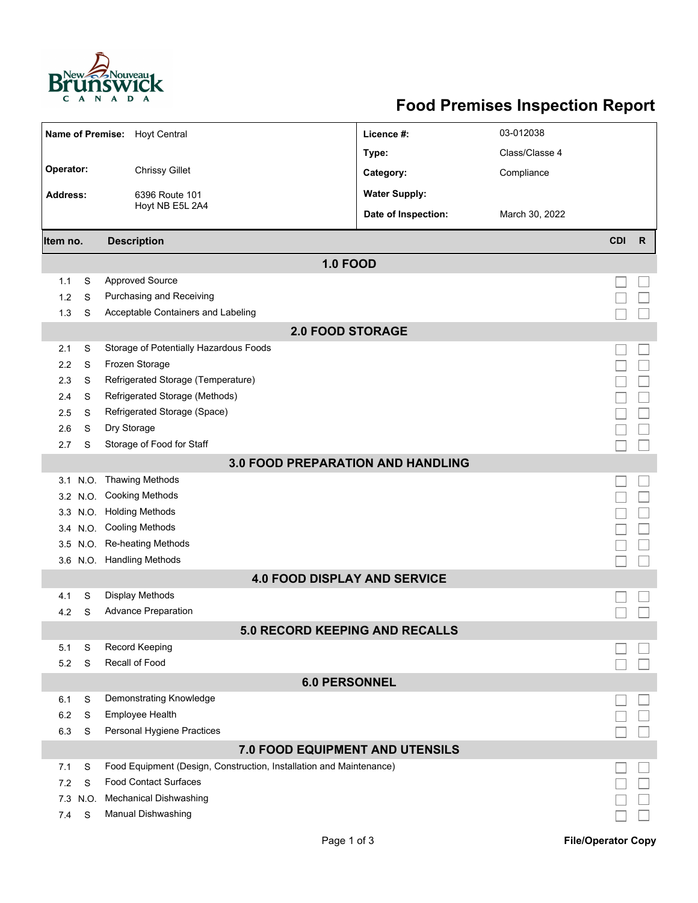

## **Food Premises Inspection Report**

| 03-012038<br><b>Name of Premise:</b><br><b>Hoyt Central</b><br>Licence #:<br>Class/Classe 4<br>Type:<br>Operator:<br><b>Chrissy Gillet</b><br>Compliance<br>Category:<br><b>Water Supply:</b><br>6396 Route 101<br><b>Address:</b><br>Hoyt NB E5L 2A4<br>Date of Inspection:<br>March 30, 2022<br><b>CDI</b><br><b>Description</b><br>$\mathsf{R}$<br>Item no.<br><b>1.0 FOOD</b><br><b>Approved Source</b><br>S<br>1.1<br>Purchasing and Receiving<br>1.2<br>S<br>Acceptable Containers and Labeling<br>S<br>1.3<br><b>2.0 FOOD STORAGE</b><br>Storage of Potentially Hazardous Foods<br>2.1<br>S<br>Frozen Storage<br>S<br>2.2<br>Refrigerated Storage (Temperature)<br>2.3<br>S<br>Refrigerated Storage (Methods)<br>S<br>2.4<br>Refrigerated Storage (Space)<br>2.5<br>S<br>Dry Storage<br>2.6<br>S<br>Storage of Food for Staff<br>S<br>2.7<br>3.0 FOOD PREPARATION AND HANDLING<br>N.O. Thawing Methods<br>3.1<br><b>Cooking Methods</b><br>3.2 N.O.<br><b>Holding Methods</b><br>3.3 N.O.<br>3.4 N.O. Cooling Methods<br>Re-heating Methods<br>3.5 N.O.<br>3.6 N.O. Handling Methods<br><b>4.0 FOOD DISPLAY AND SERVICE</b><br><b>Display Methods</b><br>S<br>4.1<br><b>Advance Preparation</b><br>4.2<br>S<br>5.0 RECORD KEEPING AND RECALLS<br><b>Record Keeping</b><br>S<br>5.1<br>Recall of Food<br>5.2<br>S<br><b>6.0 PERSONNEL</b><br>Demonstrating Knowledge<br>6.1<br>S<br>Employee Health<br>6.2<br>S<br>Personal Hygiene Practices<br>6.3<br>S<br>7.0 FOOD EQUIPMENT AND UTENSILS<br>Food Equipment (Design, Construction, Installation and Maintenance)<br>S<br>7.1<br><b>Food Contact Surfaces</b><br>7.2<br>S<br><b>Mechanical Dishwashing</b><br>7.3 N.O.<br><b>Manual Dishwashing</b><br>S<br>7.4 |  |  |  |  |  |  |  |  |  |  |  |
|-------------------------------------------------------------------------------------------------------------------------------------------------------------------------------------------------------------------------------------------------------------------------------------------------------------------------------------------------------------------------------------------------------------------------------------------------------------------------------------------------------------------------------------------------------------------------------------------------------------------------------------------------------------------------------------------------------------------------------------------------------------------------------------------------------------------------------------------------------------------------------------------------------------------------------------------------------------------------------------------------------------------------------------------------------------------------------------------------------------------------------------------------------------------------------------------------------------------------------------------------------------------------------------------------------------------------------------------------------------------------------------------------------------------------------------------------------------------------------------------------------------------------------------------------------------------------------------------------------------------------------------------------------------------------------------------------------------------------|--|--|--|--|--|--|--|--|--|--|--|
|                                                                                                                                                                                                                                                                                                                                                                                                                                                                                                                                                                                                                                                                                                                                                                                                                                                                                                                                                                                                                                                                                                                                                                                                                                                                                                                                                                                                                                                                                                                                                                                                                                                                                                                         |  |  |  |  |  |  |  |  |  |  |  |
|                                                                                                                                                                                                                                                                                                                                                                                                                                                                                                                                                                                                                                                                                                                                                                                                                                                                                                                                                                                                                                                                                                                                                                                                                                                                                                                                                                                                                                                                                                                                                                                                                                                                                                                         |  |  |  |  |  |  |  |  |  |  |  |
|                                                                                                                                                                                                                                                                                                                                                                                                                                                                                                                                                                                                                                                                                                                                                                                                                                                                                                                                                                                                                                                                                                                                                                                                                                                                                                                                                                                                                                                                                                                                                                                                                                                                                                                         |  |  |  |  |  |  |  |  |  |  |  |
|                                                                                                                                                                                                                                                                                                                                                                                                                                                                                                                                                                                                                                                                                                                                                                                                                                                                                                                                                                                                                                                                                                                                                                                                                                                                                                                                                                                                                                                                                                                                                                                                                                                                                                                         |  |  |  |  |  |  |  |  |  |  |  |
|                                                                                                                                                                                                                                                                                                                                                                                                                                                                                                                                                                                                                                                                                                                                                                                                                                                                                                                                                                                                                                                                                                                                                                                                                                                                                                                                                                                                                                                                                                                                                                                                                                                                                                                         |  |  |  |  |  |  |  |  |  |  |  |
|                                                                                                                                                                                                                                                                                                                                                                                                                                                                                                                                                                                                                                                                                                                                                                                                                                                                                                                                                                                                                                                                                                                                                                                                                                                                                                                                                                                                                                                                                                                                                                                                                                                                                                                         |  |  |  |  |  |  |  |  |  |  |  |
|                                                                                                                                                                                                                                                                                                                                                                                                                                                                                                                                                                                                                                                                                                                                                                                                                                                                                                                                                                                                                                                                                                                                                                                                                                                                                                                                                                                                                                                                                                                                                                                                                                                                                                                         |  |  |  |  |  |  |  |  |  |  |  |
|                                                                                                                                                                                                                                                                                                                                                                                                                                                                                                                                                                                                                                                                                                                                                                                                                                                                                                                                                                                                                                                                                                                                                                                                                                                                                                                                                                                                                                                                                                                                                                                                                                                                                                                         |  |  |  |  |  |  |  |  |  |  |  |
|                                                                                                                                                                                                                                                                                                                                                                                                                                                                                                                                                                                                                                                                                                                                                                                                                                                                                                                                                                                                                                                                                                                                                                                                                                                                                                                                                                                                                                                                                                                                                                                                                                                                                                                         |  |  |  |  |  |  |  |  |  |  |  |
|                                                                                                                                                                                                                                                                                                                                                                                                                                                                                                                                                                                                                                                                                                                                                                                                                                                                                                                                                                                                                                                                                                                                                                                                                                                                                                                                                                                                                                                                                                                                                                                                                                                                                                                         |  |  |  |  |  |  |  |  |  |  |  |
|                                                                                                                                                                                                                                                                                                                                                                                                                                                                                                                                                                                                                                                                                                                                                                                                                                                                                                                                                                                                                                                                                                                                                                                                                                                                                                                                                                                                                                                                                                                                                                                                                                                                                                                         |  |  |  |  |  |  |  |  |  |  |  |
|                                                                                                                                                                                                                                                                                                                                                                                                                                                                                                                                                                                                                                                                                                                                                                                                                                                                                                                                                                                                                                                                                                                                                                                                                                                                                                                                                                                                                                                                                                                                                                                                                                                                                                                         |  |  |  |  |  |  |  |  |  |  |  |
|                                                                                                                                                                                                                                                                                                                                                                                                                                                                                                                                                                                                                                                                                                                                                                                                                                                                                                                                                                                                                                                                                                                                                                                                                                                                                                                                                                                                                                                                                                                                                                                                                                                                                                                         |  |  |  |  |  |  |  |  |  |  |  |
|                                                                                                                                                                                                                                                                                                                                                                                                                                                                                                                                                                                                                                                                                                                                                                                                                                                                                                                                                                                                                                                                                                                                                                                                                                                                                                                                                                                                                                                                                                                                                                                                                                                                                                                         |  |  |  |  |  |  |  |  |  |  |  |
|                                                                                                                                                                                                                                                                                                                                                                                                                                                                                                                                                                                                                                                                                                                                                                                                                                                                                                                                                                                                                                                                                                                                                                                                                                                                                                                                                                                                                                                                                                                                                                                                                                                                                                                         |  |  |  |  |  |  |  |  |  |  |  |
|                                                                                                                                                                                                                                                                                                                                                                                                                                                                                                                                                                                                                                                                                                                                                                                                                                                                                                                                                                                                                                                                                                                                                                                                                                                                                                                                                                                                                                                                                                                                                                                                                                                                                                                         |  |  |  |  |  |  |  |  |  |  |  |
|                                                                                                                                                                                                                                                                                                                                                                                                                                                                                                                                                                                                                                                                                                                                                                                                                                                                                                                                                                                                                                                                                                                                                                                                                                                                                                                                                                                                                                                                                                                                                                                                                                                                                                                         |  |  |  |  |  |  |  |  |  |  |  |
|                                                                                                                                                                                                                                                                                                                                                                                                                                                                                                                                                                                                                                                                                                                                                                                                                                                                                                                                                                                                                                                                                                                                                                                                                                                                                                                                                                                                                                                                                                                                                                                                                                                                                                                         |  |  |  |  |  |  |  |  |  |  |  |
|                                                                                                                                                                                                                                                                                                                                                                                                                                                                                                                                                                                                                                                                                                                                                                                                                                                                                                                                                                                                                                                                                                                                                                                                                                                                                                                                                                                                                                                                                                                                                                                                                                                                                                                         |  |  |  |  |  |  |  |  |  |  |  |
|                                                                                                                                                                                                                                                                                                                                                                                                                                                                                                                                                                                                                                                                                                                                                                                                                                                                                                                                                                                                                                                                                                                                                                                                                                                                                                                                                                                                                                                                                                                                                                                                                                                                                                                         |  |  |  |  |  |  |  |  |  |  |  |
|                                                                                                                                                                                                                                                                                                                                                                                                                                                                                                                                                                                                                                                                                                                                                                                                                                                                                                                                                                                                                                                                                                                                                                                                                                                                                                                                                                                                                                                                                                                                                                                                                                                                                                                         |  |  |  |  |  |  |  |  |  |  |  |
|                                                                                                                                                                                                                                                                                                                                                                                                                                                                                                                                                                                                                                                                                                                                                                                                                                                                                                                                                                                                                                                                                                                                                                                                                                                                                                                                                                                                                                                                                                                                                                                                                                                                                                                         |  |  |  |  |  |  |  |  |  |  |  |
|                                                                                                                                                                                                                                                                                                                                                                                                                                                                                                                                                                                                                                                                                                                                                                                                                                                                                                                                                                                                                                                                                                                                                                                                                                                                                                                                                                                                                                                                                                                                                                                                                                                                                                                         |  |  |  |  |  |  |  |  |  |  |  |
|                                                                                                                                                                                                                                                                                                                                                                                                                                                                                                                                                                                                                                                                                                                                                                                                                                                                                                                                                                                                                                                                                                                                                                                                                                                                                                                                                                                                                                                                                                                                                                                                                                                                                                                         |  |  |  |  |  |  |  |  |  |  |  |
|                                                                                                                                                                                                                                                                                                                                                                                                                                                                                                                                                                                                                                                                                                                                                                                                                                                                                                                                                                                                                                                                                                                                                                                                                                                                                                                                                                                                                                                                                                                                                                                                                                                                                                                         |  |  |  |  |  |  |  |  |  |  |  |
|                                                                                                                                                                                                                                                                                                                                                                                                                                                                                                                                                                                                                                                                                                                                                                                                                                                                                                                                                                                                                                                                                                                                                                                                                                                                                                                                                                                                                                                                                                                                                                                                                                                                                                                         |  |  |  |  |  |  |  |  |  |  |  |
|                                                                                                                                                                                                                                                                                                                                                                                                                                                                                                                                                                                                                                                                                                                                                                                                                                                                                                                                                                                                                                                                                                                                                                                                                                                                                                                                                                                                                                                                                                                                                                                                                                                                                                                         |  |  |  |  |  |  |  |  |  |  |  |
|                                                                                                                                                                                                                                                                                                                                                                                                                                                                                                                                                                                                                                                                                                                                                                                                                                                                                                                                                                                                                                                                                                                                                                                                                                                                                                                                                                                                                                                                                                                                                                                                                                                                                                                         |  |  |  |  |  |  |  |  |  |  |  |
|                                                                                                                                                                                                                                                                                                                                                                                                                                                                                                                                                                                                                                                                                                                                                                                                                                                                                                                                                                                                                                                                                                                                                                                                                                                                                                                                                                                                                                                                                                                                                                                                                                                                                                                         |  |  |  |  |  |  |  |  |  |  |  |
|                                                                                                                                                                                                                                                                                                                                                                                                                                                                                                                                                                                                                                                                                                                                                                                                                                                                                                                                                                                                                                                                                                                                                                                                                                                                                                                                                                                                                                                                                                                                                                                                                                                                                                                         |  |  |  |  |  |  |  |  |  |  |  |
|                                                                                                                                                                                                                                                                                                                                                                                                                                                                                                                                                                                                                                                                                                                                                                                                                                                                                                                                                                                                                                                                                                                                                                                                                                                                                                                                                                                                                                                                                                                                                                                                                                                                                                                         |  |  |  |  |  |  |  |  |  |  |  |
|                                                                                                                                                                                                                                                                                                                                                                                                                                                                                                                                                                                                                                                                                                                                                                                                                                                                                                                                                                                                                                                                                                                                                                                                                                                                                                                                                                                                                                                                                                                                                                                                                                                                                                                         |  |  |  |  |  |  |  |  |  |  |  |
|                                                                                                                                                                                                                                                                                                                                                                                                                                                                                                                                                                                                                                                                                                                                                                                                                                                                                                                                                                                                                                                                                                                                                                                                                                                                                                                                                                                                                                                                                                                                                                                                                                                                                                                         |  |  |  |  |  |  |  |  |  |  |  |
|                                                                                                                                                                                                                                                                                                                                                                                                                                                                                                                                                                                                                                                                                                                                                                                                                                                                                                                                                                                                                                                                                                                                                                                                                                                                                                                                                                                                                                                                                                                                                                                                                                                                                                                         |  |  |  |  |  |  |  |  |  |  |  |
|                                                                                                                                                                                                                                                                                                                                                                                                                                                                                                                                                                                                                                                                                                                                                                                                                                                                                                                                                                                                                                                                                                                                                                                                                                                                                                                                                                                                                                                                                                                                                                                                                                                                                                                         |  |  |  |  |  |  |  |  |  |  |  |
|                                                                                                                                                                                                                                                                                                                                                                                                                                                                                                                                                                                                                                                                                                                                                                                                                                                                                                                                                                                                                                                                                                                                                                                                                                                                                                                                                                                                                                                                                                                                                                                                                                                                                                                         |  |  |  |  |  |  |  |  |  |  |  |
|                                                                                                                                                                                                                                                                                                                                                                                                                                                                                                                                                                                                                                                                                                                                                                                                                                                                                                                                                                                                                                                                                                                                                                                                                                                                                                                                                                                                                                                                                                                                                                                                                                                                                                                         |  |  |  |  |  |  |  |  |  |  |  |
|                                                                                                                                                                                                                                                                                                                                                                                                                                                                                                                                                                                                                                                                                                                                                                                                                                                                                                                                                                                                                                                                                                                                                                                                                                                                                                                                                                                                                                                                                                                                                                                                                                                                                                                         |  |  |  |  |  |  |  |  |  |  |  |
|                                                                                                                                                                                                                                                                                                                                                                                                                                                                                                                                                                                                                                                                                                                                                                                                                                                                                                                                                                                                                                                                                                                                                                                                                                                                                                                                                                                                                                                                                                                                                                                                                                                                                                                         |  |  |  |  |  |  |  |  |  |  |  |
|                                                                                                                                                                                                                                                                                                                                                                                                                                                                                                                                                                                                                                                                                                                                                                                                                                                                                                                                                                                                                                                                                                                                                                                                                                                                                                                                                                                                                                                                                                                                                                                                                                                                                                                         |  |  |  |  |  |  |  |  |  |  |  |
|                                                                                                                                                                                                                                                                                                                                                                                                                                                                                                                                                                                                                                                                                                                                                                                                                                                                                                                                                                                                                                                                                                                                                                                                                                                                                                                                                                                                                                                                                                                                                                                                                                                                                                                         |  |  |  |  |  |  |  |  |  |  |  |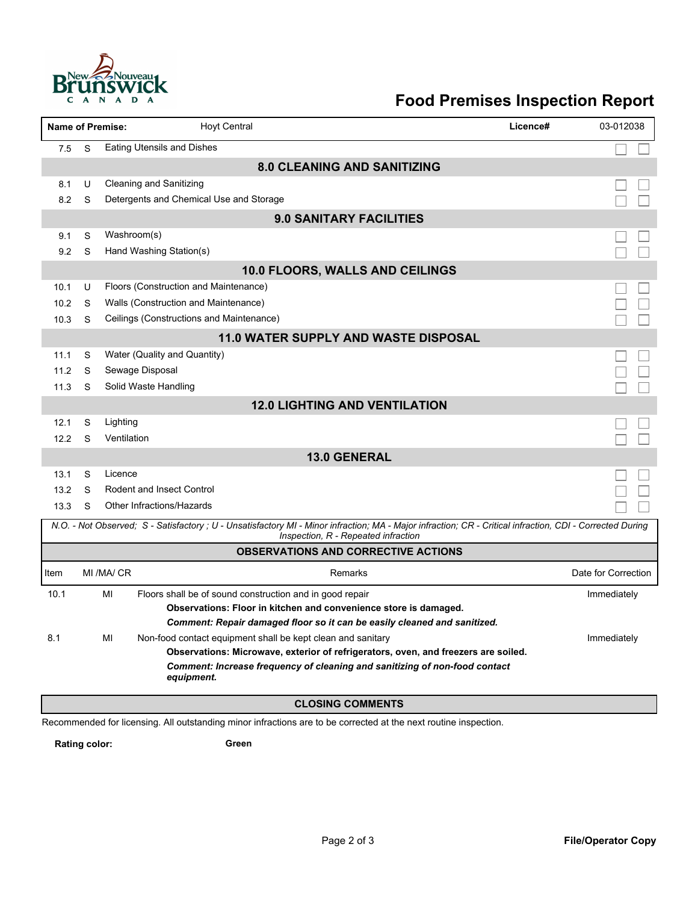

## **Food Premises Inspection Report**

|                                             |                                                                                                                                                                                                  | <b>Name of Premise:</b> | <b>Hoyt Central</b><br>Licence#                                                                                                                                                       | 03-012038           |  |  |  |  |  |
|---------------------------------------------|--------------------------------------------------------------------------------------------------------------------------------------------------------------------------------------------------|-------------------------|---------------------------------------------------------------------------------------------------------------------------------------------------------------------------------------|---------------------|--|--|--|--|--|
| 7.5                                         | S                                                                                                                                                                                                |                         | <b>Eating Utensils and Dishes</b>                                                                                                                                                     |                     |  |  |  |  |  |
| <b>8.0 CLEANING AND SANITIZING</b>          |                                                                                                                                                                                                  |                         |                                                                                                                                                                                       |                     |  |  |  |  |  |
| 8.1                                         | U                                                                                                                                                                                                |                         | Cleaning and Sanitizing                                                                                                                                                               |                     |  |  |  |  |  |
| 8.2                                         | S                                                                                                                                                                                                |                         | Detergents and Chemical Use and Storage                                                                                                                                               |                     |  |  |  |  |  |
|                                             | <b>9.0 SANITARY FACILITIES</b>                                                                                                                                                                   |                         |                                                                                                                                                                                       |                     |  |  |  |  |  |
| 9.1                                         | S                                                                                                                                                                                                | Washroom(s)             |                                                                                                                                                                                       |                     |  |  |  |  |  |
| 9.2                                         | S                                                                                                                                                                                                |                         | Hand Washing Station(s)                                                                                                                                                               |                     |  |  |  |  |  |
|                                             |                                                                                                                                                                                                  |                         | 10.0 FLOORS, WALLS AND CEILINGS                                                                                                                                                       |                     |  |  |  |  |  |
| 10.1                                        | U                                                                                                                                                                                                |                         | Floors (Construction and Maintenance)                                                                                                                                                 |                     |  |  |  |  |  |
| 10.2                                        | S                                                                                                                                                                                                |                         | Walls (Construction and Maintenance)                                                                                                                                                  |                     |  |  |  |  |  |
| 10.3                                        | S                                                                                                                                                                                                |                         | Ceilings (Constructions and Maintenance)                                                                                                                                              |                     |  |  |  |  |  |
| <b>11.0 WATER SUPPLY AND WASTE DISPOSAL</b> |                                                                                                                                                                                                  |                         |                                                                                                                                                                                       |                     |  |  |  |  |  |
| 11.1                                        | S                                                                                                                                                                                                |                         | Water (Quality and Quantity)                                                                                                                                                          |                     |  |  |  |  |  |
| 11.2                                        | S                                                                                                                                                                                                |                         | Sewage Disposal                                                                                                                                                                       |                     |  |  |  |  |  |
| 11.3                                        | S                                                                                                                                                                                                |                         | Solid Waste Handling                                                                                                                                                                  |                     |  |  |  |  |  |
|                                             |                                                                                                                                                                                                  |                         | <b>12.0 LIGHTING AND VENTILATION</b>                                                                                                                                                  |                     |  |  |  |  |  |
| 12.1                                        | S                                                                                                                                                                                                | Lighting                |                                                                                                                                                                                       |                     |  |  |  |  |  |
| 12.2                                        | S                                                                                                                                                                                                | Ventilation             |                                                                                                                                                                                       |                     |  |  |  |  |  |
|                                             |                                                                                                                                                                                                  |                         | 13.0 GENERAL                                                                                                                                                                          |                     |  |  |  |  |  |
| 13.1                                        | S                                                                                                                                                                                                | Licence                 |                                                                                                                                                                                       |                     |  |  |  |  |  |
| 13.2                                        | S                                                                                                                                                                                                |                         | <b>Rodent and Insect Control</b>                                                                                                                                                      |                     |  |  |  |  |  |
| 13.3                                        | S                                                                                                                                                                                                |                         | Other Infractions/Hazards                                                                                                                                                             |                     |  |  |  |  |  |
|                                             | N.O. - Not Observed; S - Satisfactory ; U - Unsatisfactory MI - Minor infraction; MA - Major infraction; CR - Critical infraction, CDI - Corrected During<br>Inspection, R - Repeated infraction |                         |                                                                                                                                                                                       |                     |  |  |  |  |  |
|                                             |                                                                                                                                                                                                  |                         | <b>OBSERVATIONS AND CORRECTIVE ACTIONS</b>                                                                                                                                            |                     |  |  |  |  |  |
| Item                                        |                                                                                                                                                                                                  | MI /MA/ CR              | Remarks                                                                                                                                                                               | Date for Correction |  |  |  |  |  |
| 10.1                                        |                                                                                                                                                                                                  | MI                      | Floors shall be of sound construction and in good repair                                                                                                                              | Immediately         |  |  |  |  |  |
|                                             |                                                                                                                                                                                                  |                         | Observations: Floor in kitchen and convenience store is damaged.                                                                                                                      |                     |  |  |  |  |  |
|                                             |                                                                                                                                                                                                  |                         | Comment: Repair damaged floor so it can be easily cleaned and sanitized.                                                                                                              |                     |  |  |  |  |  |
| 8.1                                         |                                                                                                                                                                                                  | MI                      | Non-food contact equipment shall be kept clean and sanitary                                                                                                                           | Immediately         |  |  |  |  |  |
|                                             |                                                                                                                                                                                                  |                         | Observations: Microwave, exterior of refrigerators, oven, and freezers are soiled.<br><b>Comment: Increase frequency of cleaning and sanitizing of non-food contact</b><br>equipment. |                     |  |  |  |  |  |
|                                             |                                                                                                                                                                                                  |                         | <b>CLOSING COMMENTS</b>                                                                                                                                                               |                     |  |  |  |  |  |

Recommended for licensing. All outstanding minor infractions are to be corrected at the next routine inspection.

**Rating color: Green**